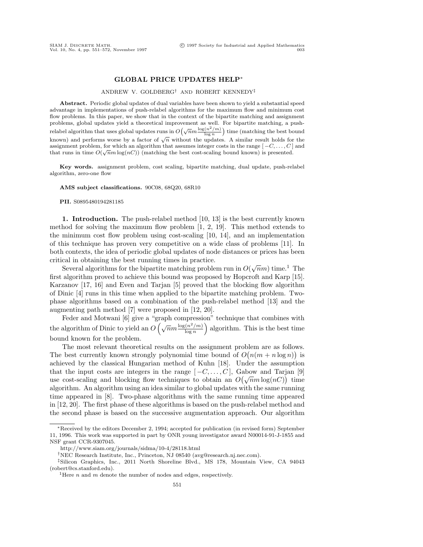# **GLOBAL PRICE UPDATES HELP**<sup>∗</sup>

## ANDREW V. GOLDBERG† AND ROBERT KENNEDY‡

**Abstract.** Periodic global updates of dual variables have been shown to yield a substantial speed advantage in implementations of push-relabel algorithms for the maximum flow and minimum cost flow problems. In this paper, we show that in the context of the bipartite matching and assignment problems, global updates yield a theoretical improvement as well. For bipartite matching, a pushrelabel algorithm that uses global updates runs in  $O\left(\sqrt{n}m\frac{\log(n^2/m)}{\log n}\right)$  time (matching the best bound known) and performs worse by a factor of  $\sqrt{n}$  without the updates. A similar result holds for the assignment problem, for which an algorithm that assumes integer costs in the range  $[-C, \ldots, C]$  and that runs in time  $O(\sqrt{n}m\log(nC))$  (matching the best cost-scaling bound known) is presented.

**Key words.** assignment problem, cost scaling, bipartite matching, dual update, push-relabel algorithm, zero-one flow

#### **AMS subject classifications.** 90C08, 68Q20, 68R10

#### **PII.** S0895480194281185

**1. Introduction.** The push-relabel method [10, 13] is the best currently known method for solving the maximum flow problem  $[1, 2, 19]$ . This method extends to the minimum cost flow problem using cost-scaling [10, 14], and an implementation of this technique has proven very competitive on a wide class of problems [11]. In both contexts, the idea of periodic global updates of node distances or prices has been critical in obtaining the best running times in practice.

Several algorithms for the bipartite matching problem run in  $O(\sqrt{n}m)$  time.<sup>1</sup> The first algorithm proved to achieve this bound was proposed by Hopcroft and Karp [15]. Karzanov [17, 16] and Even and Tarjan [5] proved that the blocking flow algorithm of Dinic [4] runs in this time when applied to the bipartite matching problem. Twophase algorithms based on a combination of the push-relabel method [13] and the augmenting path method [7] were proposed in [12, 20].

Feder and Motwani [6] give a "graph compression" technique that combines with the algorithm of Dinic to yield an  $O\left(\sqrt{m}m\frac{\log(n^2/m)}{\log n}\right)$  algorithm. This is the best time bound known for the problem.

The most relevant theoretical results on the assignment problem are as follows. The best currently known strongly polynomial time bound of  $O(n(m + n \log n))$  is achieved by the classical Hungarian method of Kuhn [18]. Under the assumption that the input costs are integers in the range  $[-C, \ldots, C]$ , Gabow and Tarjan [9] that the input costs are integers in the range  $[-C, \ldots, C]$ , Gabow and Tarjan [9]<br>use cost-scaling and blocking flow techniques to obtain an  $O(\sqrt{nm} \log(nC))$  time algorithm. An algorithm using an idea similar to global updates with the same running time appeared in [8]. Two-phase algorithms with the same running time appeared in [12, 20]. The first phase of these algorithms is based on the push-relabel method and the second phase is based on the successive augmentation approach. Our algorithm

<sup>∗</sup>Received by the editors December 2, 1994; accepted for publication (in revised form) September 11, 1996. This work was supported in part by ONR young investigator award N00014-91-J-1855 and NSF grant CCR-9307045.

http://www.siam.org/journals/sidma/10-4/28118.html

<sup>†</sup>NEC Research Institute, Inc., Princeton, NJ 08540 (avg@research.nj.nec.com).

<sup>‡</sup>Silicon Graphics, Inc., 2011 North Shoreline Blvd., MS 178, Mountain View, CA 94043 (robert@cs.stanford.edu).

<sup>&</sup>lt;sup>1</sup>Here *n* and *m* denote the number of nodes and edges, respectively.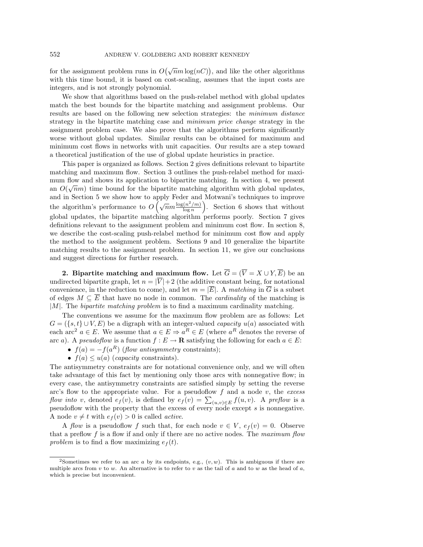for the assignment problem runs in  $O(\sqrt{n}m\log(nC))$ , and like the other algorithms with this time bound, it is based on cost-scaling, assumes that the input costs are integers, and is not strongly polynomial.

We show that algorithms based on the push-relabel method with global updates match the best bounds for the bipartite matching and assignment problems. Our results are based on the following new selection strategies: the minimum distance strategy in the bipartite matching case and minimum price change strategy in the assignment problem case. We also prove that the algorithms perform significantly worse without global updates. Similar results can be obtained for maximum and minimum cost flows in networks with unit capacities. Our results are a step toward a theoretical justification of the use of global update heuristics in practice.

This paper is organized as follows. Section 2 gives definitions relevant to bipartite matching and maximum flow. Section 3 outlines the push-relabel method for maximum flow and shows its application to bipartite matching. In section 4, we present mum now and shows its application to bipartite matching. In section 4, we present<br>an  $O(\sqrt{n}m)$  time bound for the bipartite matching algorithm with global updates, and in Section 5 we show how to apply Feder and Motwani's techniques to improve the algorithm's performance to  $O\left(\sqrt{n}m\frac{\log(n^2/m)}{\log n}\right)$ . Section 6 shows that without global updates, the bipartite matching algorithm performs poorly. Section 7 gives definitions relevant to the assignment problem and minimum cost flow. In section 8, we describe the cost-scaling push-relabel method for minimum cost flow and apply the method to the assignment problem. Sections 9 and 10 generalize the bipartite matching results to the assignment problem. In section 11, we give our conclusions and suggest directions for further research.

**2. Bipartite matching and maximum flow.** Let  $\overline{G} = (\overline{V} = X \cup Y, \overline{E})$  be an undirected bipartite graph, let  $n = |\overline{V}| + 2$  (the additive constant being, for notational convenience, in the reduction to come), and let  $m = |\overline{E}|$ . A matching in  $\overline{G}$  is a subset of edges  $M \subseteq \overline{E}$  that have no node in common. The *cardinality* of the matching is  $|M|$ . The *bipartite matching problem* is to find a maximum cardinality matching.

The conventions we assume for the maximum flow problem are as follows: Let  $G = (\{s, t\} \cup V, E)$  be a digraph with an integer-valued *capacity*  $u(a)$  associated with each arc<sup>2</sup>  $a \in E$ . We assume that  $a \in E \Rightarrow a^R \in E$  (where  $a^R$  denotes the reverse of arc a). A pseudoflow is a function  $f : E \to \mathbf{R}$  satisfying the following for each  $a \in E$ :

- $f(a) = -f(a^R)$  (flow antisymmetry constraints);
- $f(a) \leq u(a)$  (*capacity* constraints).

The antisymmetry constraints are for notational convenience only, and we will often take advantage of this fact by mentioning only those arcs with nonnegative flow; in every case, the antisymmetry constraints are satisfied simply by setting the reverse arc's flow to the appropriate value. For a pseudoflow  $f$  and a node  $v$ , the excess flow into v, denoted  $e_f(v)$ , is defined by  $e_f(v) = \sum_{(u,v)\in E} f(u,v)$ . A preflow is a pseudoflow with the property that the excess of every node except s is nonnegative. A node  $v \neq t$  with  $e_f(v) > 0$  is called *active*.

A flow is a pseudoflow f such that, for each node  $v \in V$ ,  $e_f(v) = 0$ . Observe that a preflow f is a flow if and only if there are no active nodes. The maximum flow problem is to find a flow maximizing  $e_f(t)$ .

<sup>&</sup>lt;sup>2</sup>Sometimes we refer to an arc *a* by its endpoints, e.g.,  $(v, w)$ . This is ambiguous if there are multiple arcs from  $v$  to  $w$ . An alternative is to refer to  $v$  as the tail of  $a$  and to  $w$  as the head of  $a$ , which is precise but inconvenient.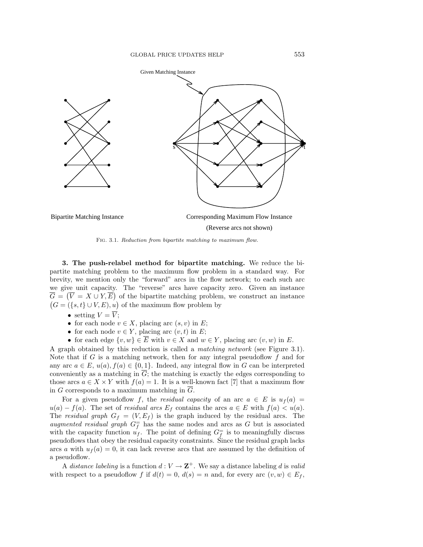

Fig. 3.1. Reduction from bipartite matching to maximum flow.

**3. The push-relabel method for bipartite matching.** We reduce the bipartite matching problem to the maximum flow problem in a standard way. For brevity, we mention only the "forward" arcs in the flow network; to each such arc we give unit capacity. The "reverse" arcs have capacity zero. Given an instance  $\overline{G} = (\overline{V} = X \cup Y, \overline{E})$  of the bipartite matching problem, we construct an instance  $(G = (\{s, t\} \cup V, E), u)$  of the maximum flow problem by

- setting  $V = \overline{V}$ ;
- for each node  $v \in X$ , placing arc  $(s, v)$  in E;
- for each node  $v \in Y$ , placing arc  $(v, t)$  in E;
- for each edge  $\{v, w\} \in \overline{E}$  with  $v \in X$  and  $w \in Y$ , placing arc  $(v, w)$  in E.

A graph obtained by this reduction is called a matching network (see Figure 3.1). Note that if G is a matching network, then for any integral pseudoflow  $f$  and for any arc  $a \in E$ ,  $u(a)$ ,  $f(a) \in \{0,1\}$ . Indeed, any integral flow in G can be interpreted conveniently as a matching in  $\overline{G}$ ; the matching is exactly the edges corresponding to those arcs  $a \in X \times Y$  with  $f(a) = 1$ . It is a well-known fact [7] that a maximum flow in G corresponds to a maximum matching in  $\overline{G}$ .

For a given pseudoflow f, the residual capacity of an arc  $a \in E$  is  $u_f(a) =$  $u(a) - f(a)$ . The set of residual arcs  $E_f$  contains the arcs  $a \in E$  with  $f(a) < u(a)$ . The residual graph  $G_f = (V, E_f)$  is the graph induced by the residual arcs. The augmented residual graph  $G_f^-$  has the same nodes and arcs as G but is associated with the capacity function  $u_f$ . The point of defining  $G_f^=$  is to meaningfully discuss pseudoflows that obey the residual capacity constraints. Since the residual graph lacks arcs a with  $u_f(a) = 0$ , it can lack reverse arcs that are assumed by the definition of a pseudoflow.

A distance labeling is a function  $d: V \to \mathbb{Z}^+$ . We say a distance labeling d is valid with respect to a pseudoflow f if  $d(t) = 0$ ,  $d(s) = n$  and, for every arc  $(v, w) \in E_f$ ,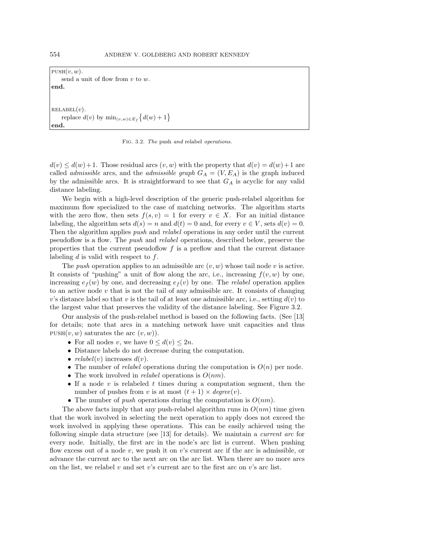| $PUSH(v, w)$ .                                               |
|--------------------------------------------------------------|
| send a unit of flow from $v$ to $w$ .                        |
| end.                                                         |
|                                                              |
|                                                              |
| RELABEL(v).                                                  |
| replace $d(v)$ by $\min_{(v,w)\in E_f}\left\{d(w)+1\right\}$ |
| end.                                                         |

FIG. 3.2. The push and relabel operations.

 $d(v) \leq d(w)+1$ . Those residual arcs  $(v, w)$  with the property that  $d(v) = d(w)+1$  are called *admissible* arcs, and the *admissible graph*  $G_A = (V, E_A)$  is the graph induced by the admissible arcs. It is straightforward to see that  $G_A$  is acyclic for any valid distance labeling.

We begin with a high-level description of the generic push-relabel algorithm for maximum flow specialized to the case of matching networks. The algorithm starts with the zero flow, then sets  $f(s, v) = 1$  for every  $v \in X$ . For an initial distance labeling, the algorithm sets  $d(s) = n$  and  $d(t) = 0$  and, for every  $v \in V$ , sets  $d(v) = 0$ . Then the algorithm applies *push* and *relabel* operations in any order until the current pseudoflow is a flow. The push and relabel operations, described below, preserve the properties that the current pseudoflow  $f$  is a preflow and that the current distance labeling  $d$  is valid with respect to  $f$ .

The *push* operation applies to an admissible arc  $(v, w)$  whose tail node v is active. It consists of "pushing" a unit of flow along the arc, i.e., increasing  $f(v, w)$  by one, increasing  $e_f(w)$  by one, and decreasing  $e_f(v)$  by one. The *relabel* operation applies to an active node  $v$  that is not the tail of any admissible arc. It consists of changing v's distance label so that v is the tail of at least one admissible arc, i.e., setting  $d(v)$  to the largest value that preserves the validity of the distance labeling. See Figure 3.2.

Our analysis of the push-relabel method is based on the following facts. (See [13] for details; note that arcs in a matching network have unit capacities and thus PUSH $(v, w)$  saturates the arc  $(v, w)$ ).

- For all nodes v, we have  $0 \leq d(v) \leq 2n$ .
- Distance labels do not decrease during the computation.
- $relabel(v)$  increases  $d(v)$ .
- The number of *relabel* operations during the computation is  $O(n)$  per node.
- The work involved in *relabel* operations is  $O(nm)$ .
- If a node  $v$  is relabeled  $t$  times during a computation segment, then the number of pushes from v is at most  $(t + 1) \times degree(v)$ .
- The number of *push* operations during the computation is  $O(nm)$ .

The above facts imply that any push-relabel algorithm runs in  $O(nm)$  time given that the work involved in selecting the next operation to apply does not exceed the work involved in applying these operations. This can be easily achieved using the following simple data structure (see [13] for details). We maintain a current arc for every node. Initially, the first arc in the node's arc list is current. When pushing flow excess out of a node v, we push it on v's current arc if the arc is admissible, or advance the current arc to the next arc on the arc list. When there are no more arcs on the list, we relabel  $v$  and set  $v$ 's current arc to the first arc on  $v$ 's arc list.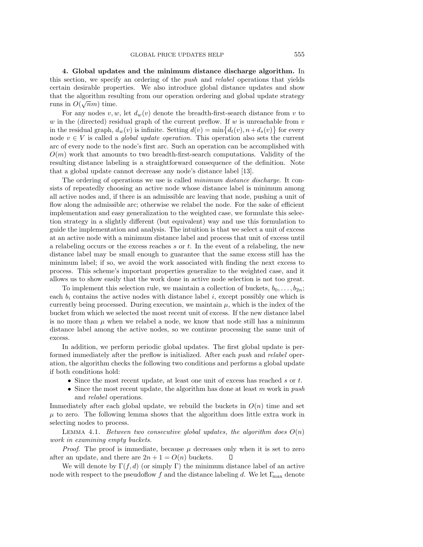**4. Global updates and the minimum distance discharge algorithm.** In this section, we specify an ordering of the push and relabel operations that yields certain desirable properties. We also introduce global distance updates and show that the algorithm resulting from our operation ordering and global update strategy that the algorithm rest<br>runs in  $O(\sqrt{n}m)$  time.

For any nodes v, w, let  $d_w(v)$  denote the breadth-first-search distance from v to w in the (directed) residual graph of the current preflow. If w is unreachable from  $v$ in the residual graph,  $d_w(v)$  is infinite. Setting  $d(v) = \min\{d_t(v), n + d_s(v)\}\)$  for every node  $v \in V$  is called a *global update operation*. This operation also sets the current arc of every node to the node's first arc. Such an operation can be accomplished with  $O(m)$  work that amounts to two breadth-first-search computations. Validity of the resulting distance labeling is a straightforward consequence of the definition. Note that a global update cannot decrease any node's distance label [13].

The ordering of operations we use is called *minimum distance discharge*. It consists of repeatedly choosing an active node whose distance label is minimum among all active nodes and, if there is an admissible arc leaving that node, pushing a unit of flow along the admissible arc; otherwise we relabel the node. For the sake of efficient implementation and easy generalization to the weighted case, we formulate this selection strategy in a slightly different (but equivalent) way and use this formulation to guide the implementation and analysis. The intuition is that we select a unit of excess at an active node with a minimum distance label and process that unit of excess until a relabeling occurs or the excess reaches  $s$  or  $t$ . In the event of a relabeling, the new distance label may be small enough to guarantee that the same excess still has the minimum label; if so, we avoid the work associated with finding the next excess to process. This scheme's important properties generalize to the weighted case, and it allows us to show easily that the work done in active node selection is not too great.

To implement this selection rule, we maintain a collection of buckets,  $b_0, \ldots, b_{2n}$ ; each  $b_i$  contains the active nodes with distance label i, except possibly one which is currently being processed. During execution, we maintain  $\mu$ , which is the index of the bucket from which we selected the most recent unit of excess. If the new distance label is no more than  $\mu$  when we relabel a node, we know that node still has a minimum distance label among the active nodes, so we continue processing the same unit of excess.

In addition, we perform periodic global updates. The first global update is performed immediately after the preflow is initialized. After each push and relabel operation, the algorithm checks the following two conditions and performs a global update if both conditions hold:

- Since the most recent update, at least one unit of excess has reached s or  $t$ .
- Since the most recent update, the algorithm has done at least  $m$  work in push and relabel operations.

Immediately after each global update, we rebuild the buckets in  $O(n)$  time and set  $\mu$  to zero. The following lemma shows that the algorithm does little extra work in selecting nodes to process.

LEMMA 4.1. Between two consecutive global updates, the algorithm does  $O(n)$ work in examining empty buckets.

*Proof.* The proof is immediate, because  $\mu$  decreases only when it is set to zero after an update, and there are  $2n + 1 = O(n)$  buckets. □

We will denote by  $\Gamma(f, d)$  (or simply  $\Gamma$ ) the minimum distance label of an active node with respect to the pseudoflow f and the distance labeling d. We let  $\Gamma_{\text{max}}$  denote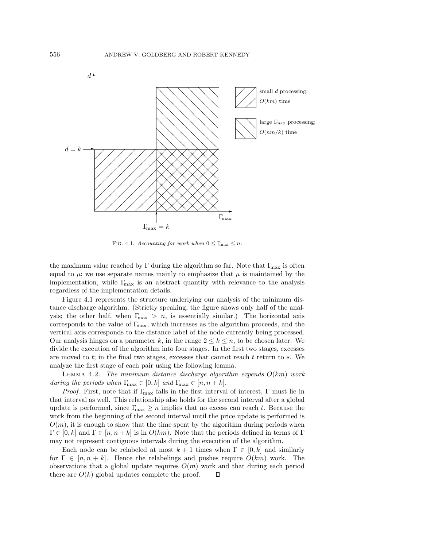

FIG. 4.1. Accounting for work when  $0 \leq \Gamma_{\text{max}} \leq n$ .

the maximum value reached by Γ during the algorithm so far. Note that  $\Gamma_{\text{max}}$  is often equal to  $\mu$ ; we use separate names mainly to emphasize that  $\mu$  is maintained by the implementation, while  $\Gamma_{\text{max}}$  is an abstract quantity with relevance to the analysis regardless of the implementation details.

Figure 4.1 represents the structure underlying our analysis of the minimum distance discharge algorithm. (Strictly speaking, the figure shows only half of the analysis; the other half, when  $\Gamma_{\text{max}} > n$ , is essentially similar.) The horizontal axis corresponds to the value of  $\Gamma_{\text{max}}$ , which increases as the algorithm proceeds, and the vertical axis corresponds to the distance label of the node currently being processed. Our analysis hinges on a parameter k, in the range  $2 \leq k \leq n$ , to be chosen later. We divide the execution of the algorithm into four stages. In the first two stages, excesses are moved to  $t$ ; in the final two stages, excesses that cannot reach  $t$  return to  $s$ . We analyze the first stage of each pair using the following lemma.

LEMMA 4.2. The minimum distance discharge algorithm expends  $O(km)$  work during the periods when  $\Gamma_{\text{max}} \in [0, k]$  and  $\Gamma_{\text{max}} \in [n, n + k]$ .

*Proof.* First, note that if  $\Gamma_{\text{max}}$  falls in the first interval of interest,  $\Gamma$  must lie in that interval as well. This relationship also holds for the second interval after a global update is performed, since  $\Gamma_{\text{max}} \geq n$  implies that no excess can reach t. Because the work from the beginning of the second interval until the price update is performed is  $O(m)$ , it is enough to show that the time spent by the algorithm during periods when  $\Gamma \in [0, k]$  and  $\Gamma \in [n, n+k]$  is in  $O(km)$ . Note that the periods defined in terms of  $\Gamma$ may not represent contiguous intervals during the execution of the algorithm.

Each node can be relabeled at most  $k + 1$  times when  $\Gamma \in [0, k]$  and similarly for  $\Gamma \in [n, n+k]$ . Hence the relabelings and pushes require  $O(km)$  work. The observations that a global update requires  $O(m)$  work and that during each period there are  $O(k)$  global updates complete the proof. П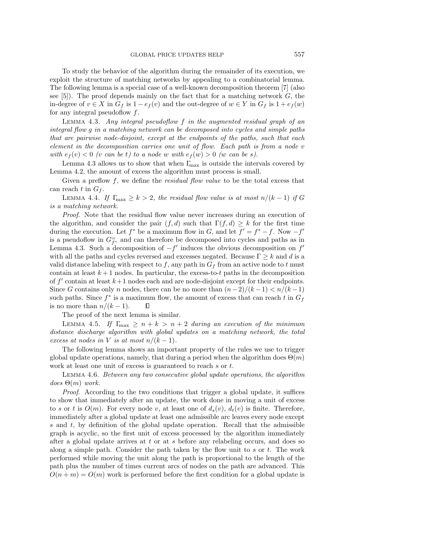To study the behavior of the algorithm during the remainder of its execution, we exploit the structure of matching networks by appealing to a combinatorial lemma. The following lemma is a special case of a well-known decomposition theorem [7] (also see  $[5]$ . The proof depends mainly on the fact that for a matching network  $G$ , the in-degree of  $v \in X$  in  $G_f$  is  $1 - e_f(v)$  and the out-degree of  $w \in Y$  in  $G_f$  is  $1 + e_f(w)$ for any integral pseudoflow  $f$ .

LEMMA 4.3. Any integral pseudoflow  $f$  in the augmented residual graph of an integral flow g in a matching network can be decomposed into cycles and simple paths that are pairwise node-disjoint, except at the endpoints of the paths, such that each element in the decomposition carries one unit of flow. Each path is from a node v with  $e_f(v) < 0$  (v can be t) to a node w with  $e_f(w) > 0$  (w can be s).

Lemma 4.3 allows us to show that when  $\Gamma_{\text{max}}$  is outside the intervals covered by Lemma 4.2, the amount of excess the algorithm must process is small.

Given a preflow f, we define the *residual flow value* to be the total excess that can reach t in  $G_f$ .

LEMMA 4.4. If  $\Gamma_{\text{max}} \geq k > 2$ , the residual flow value is at most  $n/(k-1)$  if G is a matching network.

Proof. Note that the residual flow value never increases during an execution of the algorithm, and consider the pair  $(f, d)$  such that  $\Gamma(f, d) \geq k$  for the first time during the execution. Let  $f^*$  be a maximum flow in G, and let  $f' = f^* - f$ . Now  $-f'$ is a pseudoflow in  $G_{f^*}^{\equiv}$  and can therefore be decomposed into cycles and paths as in Lemma 4.3. Such a decomposition of  $-f'$  induces the obvious decomposition on  $f'$ with all the paths and cycles reversed and excesses negated. Because  $\Gamma \geq k$  and d is a valid distance labeling with respect to f, any path in  $G_f$  from an active node to t must contain at least  $k+1$  nodes. In particular, the excess-to-t paths in the decomposition of  $f'$  contain at least  $k+1$  nodes each and are node-disjoint except for their endpoints. Since G contains only n nodes, there can be no more than  $(n-2)/(k-1) < n/(k-1)$ such paths. Since  $f^*$  is a maximum flow, the amount of excess that can reach t in  $G_f$ is no more than  $n/(k-1)$ .  $\Box$ 

The proof of the next lemma is similar.

LEMMA 4.5. If  $\Gamma_{\text{max}} \geq n + k > n + 2$  during an execution of the minimum distance discharge algorithm with global updates on a matching network, the total excess at nodes in V is at most  $n/(k-1)$ .

The following lemma shows an important property of the rules we use to trigger global update operations, namely, that during a period when the algorithm does  $\Theta(m)$ work at least one unit of excess is guaranteed to reach s or t.

Lemma 4.6. Between any two consecutive global update operations, the algorithm  $does \Theta(m)$  work.

Proof. According to the two conditions that trigger a global update, it suffices to show that immediately after an update, the work done in moving a unit of excess to s or t is  $O(m)$ . For every node v, at least one of  $d_s(v)$ ,  $d_t(v)$  is finite. Therefore, immediately after a global update at least one admissible arc leaves every node except  $s$  and  $t$ , by definition of the global update operation. Recall that the admissible graph is acyclic, so the first unit of excess processed by the algorithm immediately after a global update arrives at  $t$  or at  $s$  before any relabeling occurs, and does so along a simple path. Consider the path taken by the flow unit to s or t. The work performed while moving the unit along the path is proportional to the length of the path plus the number of times current arcs of nodes on the path are advanced. This  $O(n+m) = O(m)$  work is performed before the first condition for a global update is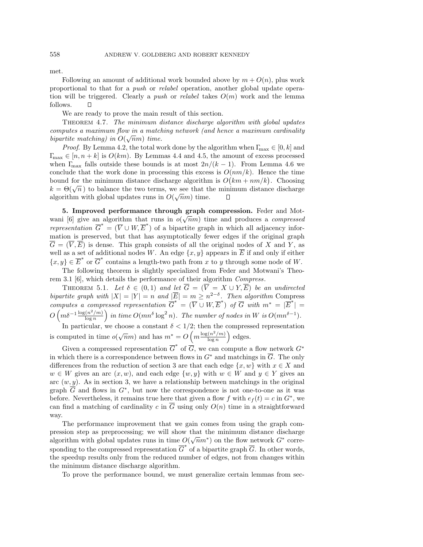met.

Following an amount of additional work bounded above by  $m + O(n)$ , plus work proportional to that for a push or relabel operation, another global update operation will be triggered. Clearly a *push* or *relabel* takes  $O(m)$  work and the lemma follows.  $\Box$ 

We are ready to prove the main result of this section.

Theorem 4.7. The minimum distance discharge algorithm with global updates computes a maximum flow in a matching network (and hence a maximum cardinality  $bipartite$  matching) in  $O(\sqrt{n}m)$  time.

*Proof.* By Lemma 4.2, the total work done by the algorithm when  $\Gamma_{\text{max}} \in [0, k]$  and  $\Gamma_{\text{max}} \in [n, n+k]$  is  $O(km)$ . By Lemmas 4.4 and 4.5, the amount of excess processed when  $\Gamma_{\text{max}}$  falls outside these bounds is at most  $2n/(k-1)$ . From Lemma 4.6 we conclude that the work done in processing this excess is  $O(nm/k)$ . Hence the time bound for the minimum distance discharge algorithm is  $O(km + nm/k)$ . Choosing  $k = \Theta(\sqrt{n})$  to balance the two terms, we see that the minimum distance discharge  $\alpha = O(\sqrt{n})$  to balance the two terms, we see that the algorithm with global updates runs in  $O(\sqrt{n}m)$  time.  $\Box$ 

**5. Improved performance through graph compression.** Feder and Mot-**3. IMPROVED PETIOF INCREDITE STARTED IN EVALUATE: STARTED THEORY** Wani [6] give an algorithm that runs in  $o(\sqrt{n}m)$  time and produces a *compressed* representation  $\overline{G}^* = (\overline{V} \cup W, \overline{E}^*)$  of a bipartite graph in which all adjacency information is preserved, but that has asymptotically fewer edges if the original graph  $\overline{G} = (\overline{V}, \overline{E})$  is dense. This graph consists of all the original nodes of X and Y, as well as a set of additional nodes W. An edge  $\{x, y\}$  appears in  $\overline{E}$  if and only if either  $\{x, y\} \in \overline{E}^*$  or  $\overline{G}^*$  contains a length-two path from x to y through some node of W.

The following theorem is slightly specialized from Feder and Motwani's Theorem 3.1 [6], which details the performance of their algorithm Compress.

THEOREM 5.1. Let  $\delta \in (0,1)$  and let  $\overline{G} = (\overline{V} = X \cup Y, \overline{E})$  be an undirected bipartite graph with  $|X| = |Y| = n$  and  $|\overline{E}| = m \geq n^{2-\delta}$ . Then algorithm Compress computes a compressed representation  $\overline{G}^* = (\overline{V} \cup W, \overline{E}^*)$  of  $\overline{G}$  with  $m^* = |\overline{E}^*|$  $O\left(m\delta^{-1}\frac{\log(n^2/m)}{\log n}\right)$  in time  $O(mn^{\delta}\log^2 n)$ . The number of nodes in W is  $O(mn^{\delta-1})$ .

In particular, we choose a constant  $\delta < 1/2$ ; then the compressed representation is computed in time  $o(\sqrt{n}m)$  and has  $m^* = O\left(m\frac{\log(n^2/m)}{\log n}\right)$  edges.

Given a compressed representation  $\overline{G}^*$  of  $\overline{G}$ , we can compute a flow network  $G^*$ in which there is a correspondence between flows in  $G^*$  and matchings in  $\overline{G}$ . The only differences from the reduction of section 3 are that each edge  $\{x, w\}$  with  $x \in X$  and  $w \in W$  gives an arc  $(x, w)$ , and each edge  $\{w, y\}$  with  $w \in W$  and  $y \in Y$  gives an arc  $(w, y)$ . As in section 3, we have a relationship between matchings in the original graph G and flows in  $G^*$ , but now the correspondence is not one-to-one as it was before. Nevertheless, it remains true here that given a flow f with  $e_f(t) = c$  in  $G^*$ , we can find a matching of cardinality c in  $\overline{G}$  using only  $O(n)$  time in a straightforward way.

The performance improvement that we gain comes from using the graph compression step as preprocessing; we will show that the minimum distance discharge pression step as preprocessing, we will show that the minimum distance discharge<br>algorithm with global updates runs in time  $O(\sqrt{n}m^*)$  on the flow network  $G^*$  corresponding to the compressed representation  $\overline{G}^*$  of a bipartite graph  $\overline{G}$ . In other words, the speedup results only from the reduced number of edges, not from changes within the minimum distance discharge algorithm.

To prove the performance bound, we must generalize certain lemmas from sec-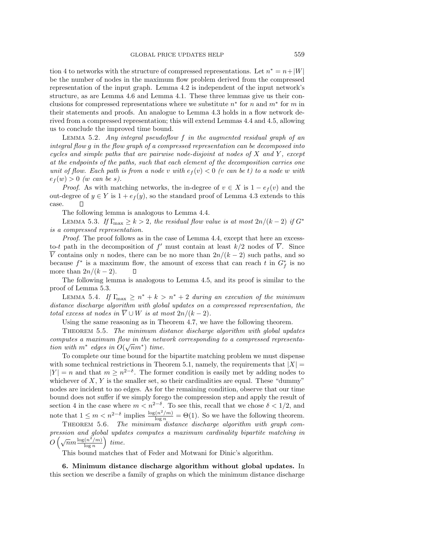tion 4 to networks with the structure of compressed representations. Let  $n^* = n + |W|$ be the number of nodes in the maximum flow problem derived from the compressed representation of the input graph. Lemma 4.2 is independent of the input network's structure, as are Lemma 4.6 and Lemma 4.1. These three lemmas give us their conclusions for compressed representations where we substitute  $n^*$  for n and  $m^*$  for m in their statements and proofs. An analogue to Lemma 4.3 holds in a flow network derived from a compressed representation; this will extend Lemmas 4.4 and 4.5, allowing us to conclude the improved time bound.

Lemma 5.2. Any integral pseudoflow f in the augmented residual graph of an integral flow g in the flow graph of a compressed representation can be decomposed into cycles and simple paths that are pairwise node-disjoint at nodes of  $X$  and  $Y$ , except at the endpoints of the paths, such that each element of the decomposition carries one unit of flow. Each path is from a node v with  $e_f(v) < 0$  (v can be t) to a node w with  $e_f(w) > 0$  (w can be s).

*Proof.* As with matching networks, the in-degree of  $v \in X$  is  $1 - e_f(v)$  and the out-degree of  $y \in Y$  is  $1 + e_f(y)$ , so the standard proof of Lemma 4.3 extends to this case.  $\Box$ 

The following lemma is analogous to Lemma 4.4.

LEMMA 5.3. If  $\Gamma_{\text{max}} \geq k > 2$ , the residual flow value is at most  $2n/(k-2)$  if  $G^*$ is a compressed representation.

Proof. The proof follows as in the case of Lemma 4.4, except that here an excessto-t path in the decomposition of f' must contain at least  $k/2$  nodes of  $\overline{V}$ . Since  $\overline{V}$  contains only n nodes, there can be no more than  $2n/(k-2)$  such paths, and so because  $f^*$  is a maximum flow, the amount of excess that can reach t in  $G_f^*$  is no more than  $2n/(k-2)$ .  $\Box$ 

The following lemma is analogous to Lemma 4.5, and its proof is similar to the proof of Lemma 5.3.

LEMMA 5.4. If  $\Gamma_{\text{max}} \geq n^* + k > n^* + 2$  during an execution of the minimum distance discharge algorithm with global updates on a compressed representation, the total excess at nodes in  $V \cup W$  is at most  $2n/(k-2)$ .

Using the same reasoning as in Theorem 4.7, we have the following theorem.

THEOREM 5.5. The minimum distance discharge algorithm with global updates computes a maximum flow in the network corresponding to a compressed representa $t_{\text{top}}$  with  $m^*$  edges in  $O(\sqrt{n}m^*)$  time.

To complete our time bound for the bipartite matching problem we must dispense with some technical restrictions in Theorem 5.1, namely, the requirements that  $|X| =$  $|Y| = n$  and that  $m \geq n^{2-\delta}$ . The former condition is easily met by adding nodes to whichever of  $X, Y$  is the smaller set, so their cardinalities are equal. These "dummy" nodes are incident to no edges. As for the remaining condition, observe that our time bound does not suffer if we simply forego the compression step and apply the result of section 4 in the case where  $m < n^{2-\delta}$ . To see this, recall that we chose  $\delta < 1/2$ , and note that  $1 \leq m < n^{2-\delta}$  implies  $\frac{\log(n^2/m)}{\log n} = \Theta(1)$ . So we have the following theorem.

THEOREM 5.6. The minimum distance discharge algorithm with graph compression and global updates computes a maximum cardinality bipartite matching in  $O\left(\sqrt{n}m\frac{\log(n^2/m)}{\log n}\right)$  time.

This bound matches that of Feder and Motwani for Dinic's algorithm.

**6. Minimum distance discharge algorithm without global updates.** In this section we describe a family of graphs on which the minimum distance discharge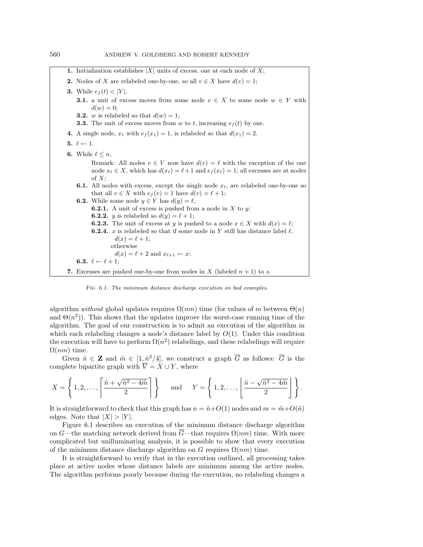**1.** Initialization establishes  $|X|$  units of excess, one at each node of X; **2.** Nodes of X are relabeled one-by-one, so all  $v \in X$  have  $d(v) = 1$ ; **3.** While  $e_f(t) < |Y|$ , **3.1.** a unit of excess moves from some node  $v \in X$  to some node  $w \in Y$  with  $d(w) = 0$ ; **3.2.** w is relabeled so that  $d(w) = 1$ ; **3.3.** The unit of excess moves from w to t, increasing  $e_f(t)$  by one. **4.** A single node,  $x_1$  with  $e_f(x_1) = 1$ , is relabeled so that  $d(x_1) = 2$ . **5.**  $\ell \leftarrow 1$ . **6.** While  $\ell \leq n$ , Remark: All nodes  $v \in V$  now have  $d(v) = \ell$  with the exception of the one node  $x_\ell \in X$ , which has  $d(x_\ell) = \ell + 1$  and  $e_f(x_\ell) = 1$ ; all excesses are at nodes of  $X$ ; **6.1.** All nodes with excess, except the single node  $x_\ell$ , are relabeled one-by-one so that all  $v \in X$  with  $e_f(v) = 1$  have  $d(v) = \ell + 1$ ; **6.2.** While some node  $y \in Y$  has  $d(y) = \ell$ , **6.2.1.** A unit of excess is pushed from a node in  $X$  to  $y$ ; **6.2.2.** *y* is relabeled so  $d(y) = \ell + 1$ ; **6.2.3.** The unit of excess at y is pushed to a node  $x \in X$  with  $d(x) = \ell$ ; **6.2.4.** x is relabeled so that if some node in Y still has distance label  $\ell$ ,  $d(x) = \ell + 1;$ otherwise  $d(x) = \ell + 2$  and  $x_{\ell+1} \leftarrow x;$ **6.3.**  $\ell \leftarrow \ell + 1;$ **7.** Excesses are pushed one-by-one from nodes in X (labeled  $n + 1$ ) to s.

Fig. 6.1. The minimum distance discharge execution on bad examples.

algorithm without global updates requires  $\Omega(nm)$  time (for values of m between  $\Theta(n)$ ) and  $\Theta(n^2)$ ). This shows that the updates improve the worst-case running time of the algorithm. The goal of our construction is to admit an execution of the algorithm in which each relabeling changes a node's distance label by  $O(1)$ . Under this condition the execution will have to perform  $\Omega(n^2)$  relabelings, and these relabelings will require  $\Omega(nm)$  time.

Given  $\tilde{n} \in \mathbb{Z}$  and  $\tilde{m} \in [1, \tilde{n}^2/4]$ , we construct a graph  $\overline{G}$  as follows:  $\overline{G}$  is the complete bipartite graph with  $\overline{V} = X \cup Y$ , where

$$
X = \left\{ 1, 2, \ldots, \left\lceil \frac{\tilde{n} + \sqrt{\tilde{n}^2 - 4\tilde{m}}}{2} \right\rceil \right\} \quad \text{and} \quad Y = \left\{ 1, 2, \ldots, \left\lfloor \frac{\tilde{n} - \sqrt{\tilde{n}^2 - 4\tilde{m}}}{2} \right\rfloor \right\}.
$$

It is straightforward to check that this graph has  $n = \tilde{n} + O(1)$  nodes and  $m = \tilde{m} + O(\tilde{n})$ edges. Note that  $|X| > |Y|$ .

Figure 6.1 describes an execution of the minimum distance discharge algorithm on G—the matching network derived from  $\overline{G}$ —that requires  $\Omega(nm)$  time. With more complicated but unilluminating analysis, it is possible to show that every execution of the minimum distance discharge algorithm on G requires  $\Omega(nm)$  time.

It is straightforward to verify that in the execution outlined, all processing takes place at active nodes whose distance labels are minimum among the active nodes. The algorithm performs poorly because during the execution, no relabeling changes a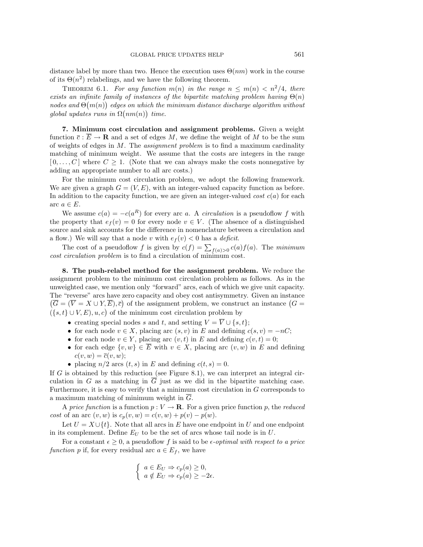distance label by more than two. Hence the execution uses  $\Theta(nm)$  work in the course of its  $\Theta(n^2)$  relabelings, and we have the following theorem.

THEOREM 6.1. For any function  $m(n)$  in the range  $n \leq m(n) \leq n^2/4$ , there exists an infinite family of instances of the bipartite matching problem having  $\Theta(n)$ nodes and  $\Theta(m(n))$  edges on which the minimum distance discharge algorithm without global updates runs in  $\Omega(nm(n))$  time.

**7. Minimum cost circulation and assignment problems.** Given a weight function  $\bar{c} : \bar{E} \to \mathbf{R}$  and a set of edges M, we define the weight of M to be the sum of weights of edges in  $M$ . The *assignment problem* is to find a maximum cardinality matching of minimum weight. We assume that the costs are integers in the range  $[0,\ldots,C]$  where  $C \geq 1$ . (Note that we can always make the costs nonnegative by adding an appropriate number to all arc costs.)

For the minimum cost circulation problem, we adopt the following framework. We are given a graph  $G = (V, E)$ , with an integer-valued capacity function as before. In addition to the capacity function, we are given an integer-valued  $cost\ c(a)$  for each arc  $a \in E$ .

We assume  $c(a) = -c(a^R)$  for every arc a. A *circulation* is a pseudoflow f with the property that  $e_f(v) = 0$  for every node  $v \in V$ . (The absence of a distinguished source and sink accounts for the difference in nomenclature between a circulation and a flow.) We will say that a node v with  $e_f(v) < 0$  has a *deficit*.

The cost of a pseudoflow f is given by  $c(f) = \sum_{f(a)>0} c(a)f(a)$ . The minimum cost circulation problem is to find a circulation of minimum cost.

**8. The push-relabel method for the assignment problem.** We reduce the assignment problem to the minimum cost circulation problem as follows. As in the unweighted case, we mention only "forward" arcs, each of which we give unit capacity. The "reverse" arcs have zero capacity and obey cost antisymmetry. Given an instance  $(\overline{G} = (\overline{V} = X \cup Y, \overline{E}), \overline{c})$  of the assignment problem, we construct an instance  $(G =$  $({s,t} \cup V, E), u, c)$  of the minimum cost circulation problem by

- creating special nodes s and t, and setting  $V = \overline{V} \cup \{s, t\}$ ;
- for each node  $v \in X$ , placing arc  $(s, v)$  in E and defining  $c(s, v) = -nC$ ;
- for each node  $v \in Y$ , placing arc  $(v, t)$  in E and defining  $c(v, t) = 0$ ;
- for each edge  $\{v, w\} \in \overline{E}$  with  $v \in X$ , placing arc  $(v, w)$  in E and defining  $c(v, w) = \overline{c}(v, w);$
- placing  $n/2$  arcs  $(t, s)$  in E and defining  $c(t, s) = 0$ .

If G is obtained by this reduction (see Figure 8.1), we can interpret an integral circulation in G as a matching in  $\overline{G}$  just as we did in the bipartite matching case. Furthermore, it is easy to verify that a minimum cost circulation in G corresponds to a maximum matching of minimum weight in  $\overline{G}$ .

A price function is a function  $p: V \to \mathbf{R}$ . For a given price function p, the reduced cost of an arc  $(v, w)$  is  $c_p(v, w) = c(v, w) + p(v) - p(w)$ .

Let  $U = X \cup \{t\}$ . Note that all arcs in E have one endpoint in U and one endpoint in its complement. Define  $E_U$  to be the set of arcs whose tail node is in  $U$ .

For a constant  $\epsilon \geq 0$ , a pseudoflow f is said to be  $\epsilon$ -optimal with respect to a price function p if, for every residual arc  $a \in E_f$ , we have

$$
\begin{cases}\na \in E_U \Rightarrow c_p(a) \ge 0, \\
a \notin E_U \Rightarrow c_p(a) \ge -2\epsilon.\n\end{cases}
$$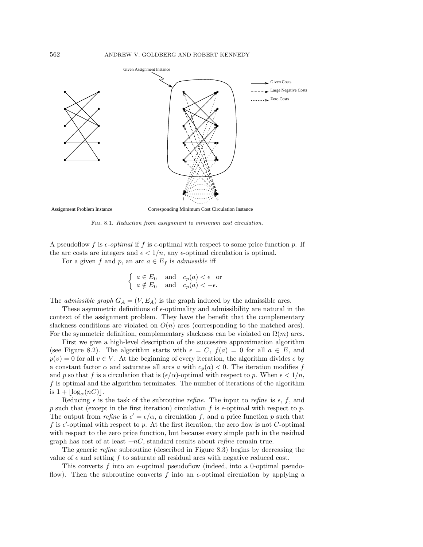

Fig. 8.1. Reduction from assignment to minimum cost circulation.

A pseudoflow f is  $\epsilon$ -optimal if f is  $\epsilon$ -optimal with respect to some price function p. If the arc costs are integers and  $\epsilon < 1/n$ , any  $\epsilon$ -optimal circulation is optimal.

For a given f and p, an arc  $a \in E_f$  is *admissible* iff

$$
\begin{cases} a \in E_U & \text{and} \quad c_p(a) < \epsilon \quad \text{or} \\ a \notin E_U & \text{and} \quad c_p(a) < -\epsilon. \end{cases}
$$

The *admissible graph*  $G_A = (V, E_A)$  is the graph induced by the admissible arcs.

These asymmetric definitions of  $\epsilon$ -optimality and admissibility are natural in the context of the assignment problem. They have the benefit that the complementary slackness conditions are violated on  $O(n)$  arcs (corresponding to the matched arcs). For the symmetric definition, complementary slackness can be violated on  $\Omega(m)$  arcs.

First we give a high-level description of the successive approximation algorithm (see Figure 8.2). The algorithm starts with  $\epsilon = C$ ,  $f(a) = 0$  for all  $a \in E$ , and  $p(v) = 0$  for all  $v \in V$ . At the beginning of every iteration, the algorithm divides  $\epsilon$  by a constant factor  $\alpha$  and saturates all arcs a with  $c_p(a) < 0$ . The iteration modifies f and p so that f is a circulation that is  $(\epsilon/\alpha)$ -optimal with respect to p. When  $\epsilon < 1/n$ , f is optimal and the algorithm terminates. The number of iterations of the algorithm is  $1 + |\log_{\alpha}(nC)|$ .

Reducing  $\epsilon$  is the task of the subroutine refine. The input to refine is  $\epsilon$ , f, and p such that (except in the first iteration) circulation f is  $\epsilon$ -optimal with respect to p. The output from refine is  $\epsilon' = \epsilon/\alpha$ , a circulation f, and a price function p such that f is  $\epsilon'$ -optimal with respect to p. At the first iteration, the zero flow is not C-optimal with respect to the zero price function, but because every simple path in the residual graph has cost of at least  $-nC$ , standard results about *refine* remain true.

The generic *refine* subroutine (described in Figure 8.3) begins by decreasing the value of  $\epsilon$  and setting f to saturate all residual arcs with negative reduced cost.

This converts  $f$  into an  $\epsilon$ -optimal pseudoflow (indeed, into a 0-optimal pseudoflow). Then the subroutine converts f into an  $\epsilon$ -optimal circulation by applying a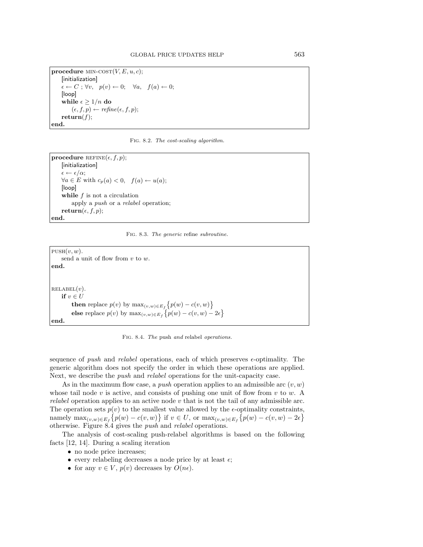```
procedure MIN-COST(V, E, u, c);
     [initialization]
     \overline{\epsilon} \leftarrow C; \forall v, \quad p(v) \leftarrow 0; \quad \forall a, \quad f(a) \leftarrow 0;[loop]
      while \epsilon \geq 1/n do
            (\epsilon, f, p) \leftarrow refine(\epsilon, f, p);return(f);end.
```
Fig. 8.2. The cost-scaling algorithm.

```
procedure REFINE(\epsilon, f, p);
    [initialization]
    \epsilon \leftarrow \epsilon/\alpha;\forall a \in E with c_p(a) < 0, f(a) \leftarrow u(a);
    [loop]
     while f is not a circulation
          apply a push or a relabel operation;
    \mathbf{return}(\epsilon, f, p);end.
```
Fig. 8.3. The generic refine subroutine.

 $PUSH(v, w)$ . send a unit of flow from  $v$  to  $w$ . **end.**  $RELABEL(v)$ . **if**  $v \in U$ **then** replace  $p(v)$  by  $\max_{(v,w)\in E_f} \{p(w) - c(v,w)\}\$ **else** replace  $p(v)$  by  $\max_{(v,w)\in E_f} \{p(w) - c(v,w) - 2\epsilon\}$ **end.**

Fig. 8.4. The push and relabel operations.

sequence of *push* and *relabel* operations, each of which preserves  $\epsilon$ -optimality. The generic algorithm does not specify the order in which these operations are applied. Next, we describe the push and relabel operations for the unit-capacity case.

As in the maximum flow case, a *push* operation applies to an admissible arc  $(v, w)$ whose tail node v is active, and consists of pushing one unit of flow from v to w. A *relabel* operation applies to an active node  $v$  that is not the tail of any admissible arc. The operation sets  $p(v)$  to the smallest value allowed by the  $\epsilon$ -optimality constraints, namely  $\max_{(v,w)\in E_f} \{p(w) - c(v,w)\}\$ if  $v \in U$ , or  $\max_{(v,w)\in E_f} \{p(w) - c(v,w) - 2\epsilon\}$ otherwise. Figure 8.4 gives the push and relabel operations.

The analysis of cost-scaling push-relabel algorithms is based on the following facts [12, 14]. During a scaling iteration

- no node price increases;
- every relabeling decreases a node price by at least  $\epsilon$ ;
- for any  $v \in V$ ,  $p(v)$  decreases by  $O(n\epsilon)$ .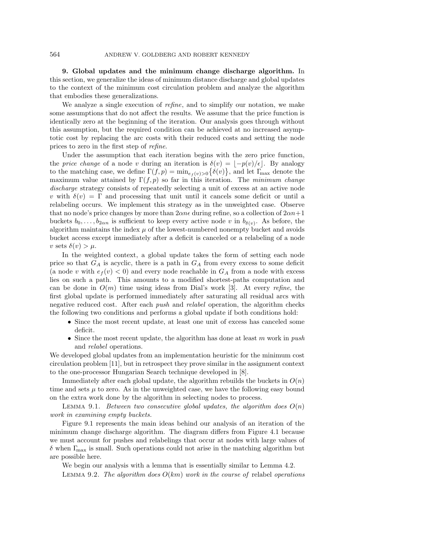**9. Global updates and the minimum change discharge algorithm.** In this section, we generalize the ideas of minimum distance discharge and global updates to the context of the minimum cost circulation problem and analyze the algorithm that embodies these generalizations.

We analyze a single execution of refine, and to simplify our notation, we make some assumptions that do not affect the results. We assume that the price function is identically zero at the beginning of the iteration. Our analysis goes through without this assumption, but the required condition can be achieved at no increased asymptotic cost by replacing the arc costs with their reduced costs and setting the node prices to zero in the first step of refine.

Under the assumption that each iteration begins with the zero price function, the price change of a node v during an iteration is  $\delta(v) = \frac{\vert -p(v)/\epsilon \vert}{\vert -p(v)/\epsilon \vert}$ . By analogy to the matching case, we define  $\Gamma(f, p) = \min_{e_f(v) > 0} \{ \delta(v) \},\$ and let  $\Gamma_{\text{max}}$  denote the maximum value attained by  $\Gamma(f, p)$  so far in this iteration. The minimum change discharge strategy consists of repeatedly selecting a unit of excess at an active node v with  $\delta(v) = \Gamma$  and processing that unit until it cancels some deficit or until a relabeling occurs. We implement this strategy as in the unweighted case. Observe that no node's price changes by more than  $2\alpha n \epsilon$  during refine, so a collection of  $2\alpha n+1$ buckets  $b_0,\ldots,b_{2\alpha n}$  is sufficient to keep every active node v in  $b_{\delta(v)}$ . As before, the algorithm maintains the index  $\mu$  of the lowest-numbered nonempty bucket and avoids bucket access except immediately after a deficit is canceled or a relabeling of a node v sets  $\delta(v) > \mu$ .

In the weighted context, a global update takes the form of setting each node price so that  $G_A$  is acyclic, there is a path in  $G_A$  from every excess to some deficit (a node v with  $e_f(v) < 0$ ) and every node reachable in  $G_A$  from a node with excess lies on such a path. This amounts to a modified shortest-paths computation and can be done in  $O(m)$  time using ideas from Dial's work [3]. At every refine, the first global update is performed immediately after saturating all residual arcs with negative reduced cost. After each push and relabel operation, the algorithm checks the following two conditions and performs a global update if both conditions hold:

- Since the most recent update, at least one unit of excess has canceled some deficit.
- Since the most recent update, the algorithm has done at least  $m$  work in push and relabel operations.

We developed global updates from an implementation heuristic for the minimum cost circulation problem [11], but in retrospect they prove similar in the assignment context to the one-processor Hungarian Search technique developed in [8].

Immediately after each global update, the algorithm rebuilds the buckets in  $O(n)$ time and sets  $\mu$  to zero. As in the unweighted case, we have the following easy bound on the extra work done by the algorithm in selecting nodes to process.

LEMMA 9.1. Between two consecutive global updates, the algorithm does  $O(n)$ work in examining empty buckets.

Figure 9.1 represents the main ideas behind our analysis of an iteration of the minimum change discharge algorithm. The diagram differs from Figure 4.1 because we must account for pushes and relabelings that occur at nodes with large values of  $\delta$  when  $\Gamma_{\text{max}}$  is small. Such operations could not arise in the matching algorithm but are possible here.

We begin our analysis with a lemma that is essentially similar to Lemma 4.2. LEMMA 9.2. The algorithm does  $O(km)$  work in the course of relabel operations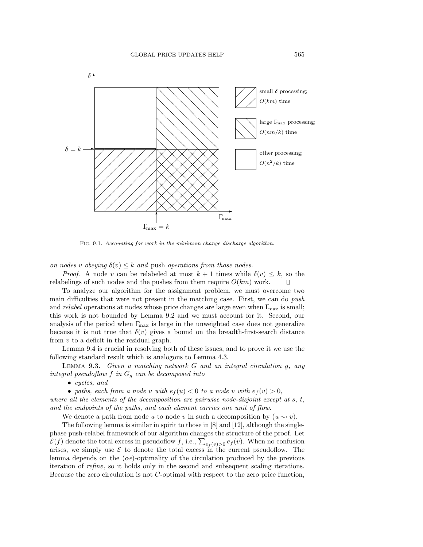

Fig. 9.1. Accounting for work in the minimum change discharge algorithm.

on nodes v obeying  $\delta(v) \leq k$  and push operations from those nodes.

*Proof.* A node v can be relabeled at most  $k + 1$  times while  $\delta(v) \leq k$ , so the relabelings of such nodes and the pushes from them require  $O(km)$  work. П

To analyze our algorithm for the assignment problem, we must overcome two main difficulties that were not present in the matching case. First, we can do *push* and *relabel* operations at nodes whose price changes are large even when  $\Gamma_{\text{max}}$  is small; this work is not bounded by Lemma 9.2 and we must account for it. Second, our analysis of the period when  $\Gamma_{\text{max}}$  is large in the unweighted case does not generalize because it is not true that  $\delta(v)$  gives a bound on the breadth-first-search distance from  $v$  to a deficit in the residual graph.

Lemma 9.4 is crucial in resolving both of these issues, and to prove it we use the following standard result which is analogous to Lemma 4.3.

LEMMA 9.3. Given a matching network  $G$  and an integral circulation  $g$ , any integral pseudoflow  $f$  in  $G_g$  can be decomposed into

- cycles, and
- paths, each from a node u with  $e_f(u) < 0$  to a node v with  $e_f(v) > 0$ ,

where all the elements of the decomposition are pairwise node-disjoint except at  $s, t$ , and the endpoints of the paths, and each element carries one unit of flow.

We denote a path from node u to node v in such a decomposition by  $(u \sim v)$ .

The following lemma is similar in spirit to those in [8] and [12], although the singlephase push-relabel framework of our algorithm changes the structure of the proof. Let  $\mathcal{E}(f)$  denote the total excess in pseudoflow f, i.e.,  $\sum_{e_f(v)>0} e_f(v)$ . When no confusion arises, we simply use  $\mathcal E$  to denote the total excess in the current pseudoflow. The lemma depends on the ( $\alpha \epsilon$ )-optimality of the circulation produced by the previous iteration of refine, so it holds only in the second and subsequent scaling iterations. Because the zero circulation is not C-optimal with respect to the zero price function,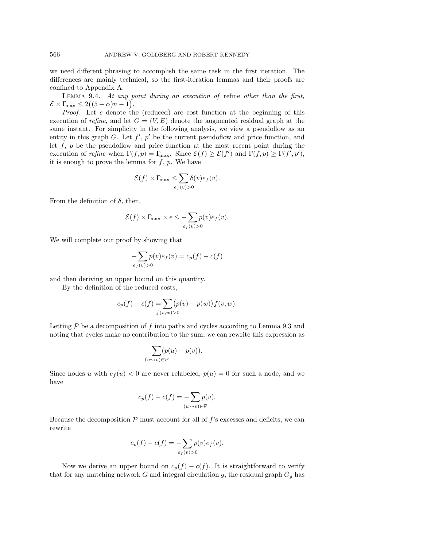we need different phrasing to accomplish the same task in the first iteration. The differences are mainly technical, so the first-iteration lemmas and their proofs are confined to Appendix A.

Lemma 9.4. At any point during an execution of refine other than the first,  $\mathcal{E} \times \Gamma_{\text{max}} \leq 2((5+\alpha)n-1).$ 

*Proof.* Let  $c$  denote the (reduced) arc cost function at the beginning of this execution of refine, and let  $G = (V, E)$  denote the augmented residual graph at the same instant. For simplicity in the following analysis, we view a pseudoflow as an entity in this graph G. Let  $f'$ ,  $p'$  be the current pseudoflow and price function, and let  $f, p$  be the pseudoflow and price function at the most recent point during the execution of *refine* when  $\Gamma(f, p) = \Gamma_{\text{max}}$ . Since  $\mathcal{E}(f) \geq \mathcal{E}(f')$  and  $\Gamma(f, p) \geq \Gamma(f', p')$ , it is enough to prove the lemma for  $f, p$ . We have

$$
\mathcal{E}(f) \times \Gamma_{\text{max}} \leq \sum_{e_f(v) > 0} \delta(v) e_f(v).
$$

From the definition of  $\delta$ , then,

$$
\mathcal{E}(f) \times \Gamma_{\text{max}} \times \epsilon \leq -\sum_{e_f(v)>0} p(v)e_f(v).
$$

We will complete our proof by showing that

$$
-\sum_{e_f(v)>0} p(v)e_f(v) = c_p(f) - c(f)
$$

and then deriving an upper bound on this quantity.

By the definition of the reduced costs,

$$
c_p(f) - c(f) = \sum_{f(v,w) > 0} (p(v) - p(w)) f(v, w).
$$

Letting  $\mathcal P$  be a decomposition of f into paths and cycles according to Lemma 9.3 and noting that cycles make no contribution to the sum, we can rewrite this expression as

$$
\sum_{(u \sim v) \in \mathcal{P}} (p(u) - p(v)).
$$

Since nodes u with  $e_f(u) < 0$  are never relabeled,  $p(u) = 0$  for such a node, and we have

$$
c_p(f) - c(f) = -\sum_{(u \sim v) \in \mathcal{P}} p(v).
$$

Because the decomposition  $P$  must account for all of  $f$ 's excesses and deficits, we can rewrite

$$
c_p(f) - c(f) = -\sum_{e_f(v) > 0} p(v)e_f(v).
$$

Now we derive an upper bound on  $c_p(f) - c(f)$ . It is straightforward to verify that for any matching network G and integral circulation g, the residual graph  $G<sub>q</sub>$  has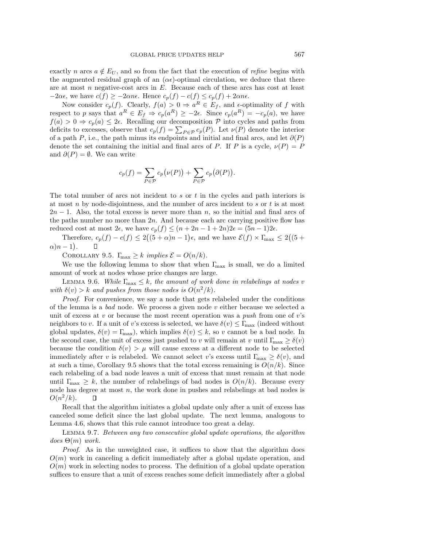exactly n arcs  $a \notin E_U$ , and so from the fact that the execution of refine begins with the augmented residual graph of an  $(\alpha \epsilon)$ -optimal circulation, we deduce that there are at most  $n$  negative-cost arcs in  $E$ . Because each of these arcs has cost at least  $-2\alpha\epsilon$ , we have  $c(f) \geq -2\alpha n\epsilon$ . Hence  $c_p(f) - c(f) \leq c_p(f) + 2\alpha n\epsilon$ .

Now consider  $c_p(f)$ . Clearly,  $f(a) > 0 \Rightarrow a^R \in E_f$ , and  $\epsilon$ -optimality of f with respect to p says that  $a^R \in E_f \Rightarrow c_p(a^R) \geq -2\epsilon$ . Since  $c_p(a^R) = -c_p(a)$ , we have  $f(a) > 0 \Rightarrow c_p(a) \leq 2\epsilon$ . Recalling our decomposition P into cycles and paths from deficits to excesses, observe that  $c_p(f) = \sum_{P \in \mathcal{P}} c_p(P)$ . Let  $\nu(P)$  denote the interior of a path P, i.e., the path minus its endpoints and initial and final arcs, and let  $\partial(P)$ denote the set containing the initial and final arcs of P. If P is a cycle,  $\nu(P) = P$ and  $\partial(P) = \emptyset$ . We can write

$$
c_p(f) = \sum_{P \in \mathcal{P}} c_p(\nu(P)) + \sum_{P \in \mathcal{P}} c_p(\partial(P)).
$$

The total number of arcs not incident to s or t in the cycles and path interiors is at most  $n$  by node-disjointness, and the number of arcs incident to  $s$  or  $t$  is at most  $2n-1$ . Also, the total excess is never more than n, so the initial and final arcs of the paths number no more than 2n. And because each arc carrying positive flow has reduced cost at most  $2\epsilon$ , we have  $c_p(f) \leq (n + 2n - 1 + 2n)2\epsilon = (5n - 1)2\epsilon$ .

Therefore,  $c_p(f) - c(f) \leq 2((5+\alpha)n-1)\epsilon$ , and we have  $\mathcal{E}(f) \times \Gamma_{\text{max}} \leq 2((5+\alpha)n)$  $\Box$  $\alpha$ )n – 1).

COROLLARY 9.5.  $\Gamma_{\text{max}} \geq k$  implies  $\mathcal{E} = O(n/k)$ .

We use the following lemma to show that when  $\Gamma_{\text{max}}$  is small, we do a limited amount of work at nodes whose price changes are large.

LEMMA 9.6. While  $\Gamma_{\text{max}} \leq k$ , the amount of work done in relabelings at nodes v with  $\delta(v) > k$  and pushes from those nodes is  $O(n^2/k)$ .

Proof. For convenience, we say a node that gets relabeled under the conditions of the lemma is a bad node. We process a given node  $v$  either because we selected a unit of excess at  $v$  or because the most recent operation was a push from one of  $v$ 's neighbors to v. If a unit of v's excess is selected, we have  $\delta(v) \leq \Gamma_{\text{max}}$  (indeed without global updates,  $\delta(v) = \Gamma_{\text{max}}$ , which implies  $\delta(v) \leq k$ , so v cannot be a bad node. In the second case, the unit of excess just pushed to v will remain at v until  $\Gamma_{\text{max}} \geq \delta(v)$ because the condition  $\delta(v) > \mu$  will cause excess at a different node to be selected immediately after v is relabeled. We cannot select v's excess until  $\Gamma_{\text{max}} \geq \delta(v)$ , and at such a time, Corollary 9.5 shows that the total excess remaining is  $O(n/k)$ . Since each relabeling of a bad node leaves a unit of excess that must remain at that node until  $\Gamma_{\text{max}} \geq k$ , the number of relabelings of bad nodes is  $O(n/k)$ . Because every node has degree at most n, the work done in pushes and relabelings at bad nodes is  $O(n^2/k)$ . П

Recall that the algorithm initiates a global update only after a unit of excess has canceled some deficit since the last global update. The next lemma, analogous to Lemma 4.6, shows that this rule cannot introduce too great a delay.

Lemma 9.7. Between any two consecutive global update operations, the algorithm  $does \Theta(m)$  work.

Proof. As in the unweighted case, it suffices to show that the algorithm does  $O(m)$  work in canceling a deficit immediately after a global update operation, and  $O(m)$  work in selecting nodes to process. The definition of a global update operation suffices to ensure that a unit of excess reaches some deficit immediately after a global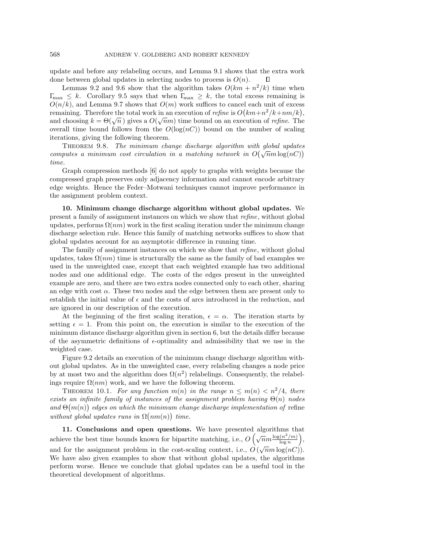update and before any relabeling occurs, and Lemma 9.1 shows that the extra work done between global updates in selecting nodes to process is  $O(n)$ . П

Lemmas 9.2 and 9.6 show that the algorithm takes  $O(km + n^2/k)$  time when  $\Gamma_{\text{max}} \leq k$ . Corollary 9.5 says that when  $\Gamma_{\text{max}} \geq k$ , the total excess remaining is  $O(n/k)$ , and Lemma 9.7 shows that  $O(m)$  work suffices to cancel each unit of excess remaining. Therefore the total work in an execution of *refine* is  $O(km+n^2/k+nm/k)$ , Formalling. Therefore the total work in an execution of refine is  $O(\kappa m+n/\kappa+n m/\kappa)$ ,<br>and choosing  $k = \Theta(\sqrt{n})$  gives a  $O(\sqrt{n}m)$  time bound on an execution of refine. The overall time bound follows from the  $O(log(nC))$  bound on the number of scaling iterations, giving the following theorem.

Theorem 9.8. The minimum change discharge algorithm with global updates computes a minimum cost circulation in a matching network in O √nm log(nC) time.

Graph compression methods [6] do not apply to graphs with weights because the compressed graph preserves only adjacency information and cannot encode arbitrary edge weights. Hence the Feder–Motwani techniques cannot improve performance in the assignment problem context.

**10. Minimum change discharge algorithm without global updates.** We present a family of assignment instances on which we show that refine, without global updates, performs  $\Omega(nm)$  work in the first scaling iteration under the minimum change discharge selection rule. Hence this family of matching networks suffices to show that global updates account for an asymptotic difference in running time.

The family of assignment instances on which we show that *refine*, without global updates, takes  $\Omega(nm)$  time is structurally the same as the family of bad examples we used in the unweighted case, except that each weighted example has two additional nodes and one additional edge. The costs of the edges present in the unweighted example are zero, and there are two extra nodes connected only to each other, sharing an edge with cost  $\alpha$ . These two nodes and the edge between them are present only to establish the initial value of  $\epsilon$  and the costs of arcs introduced in the reduction, and are ignored in our description of the execution.

At the beginning of the first scaling iteration,  $\epsilon = \alpha$ . The iteration starts by setting  $\epsilon = 1$ . From this point on, the execution is similar to the execution of the minimum distance discharge algorithm given in section 6, but the details differ because of the asymmetric definitions of  $\epsilon$ -optimality and admissibility that we use in the weighted case.

Figure 9.2 details an execution of the minimum change discharge algorithm without global updates. As in the unweighted case, every relabeling changes a node price by at most two and the algorithm does  $\Omega(n^2)$  relabelings. Consequently, the relabelings require  $\Omega(nm)$  work, and we have the following theorem.

THEOREM 10.1. For any function  $m(n)$  in the range  $n \leq m(n) < n^2/4$ , there exists an infinite family of instances of the assignment problem having  $\Theta(n)$  nodes and  $\Theta(m(n))$  edges on which the minimum change discharge implementation of refine without global updates runs in  $\Omega(nm(n))$  time.

**11. Conclusions and open questions.** We have presented algorithms that achieve the best time bounds known for bipartite matching, i.e.,  $O\left(\sqrt{n}m\frac{\log(n^2/m)}{\log n}\right)$ , and for the assignment problem in the cost-scaling context, i.e.,  $\overline{O}(\sqrt{n}m\log(nC))$ . We have also given examples to show that without global updates, the algorithms perform worse. Hence we conclude that global updates can be a useful tool in the theoretical development of algorithms.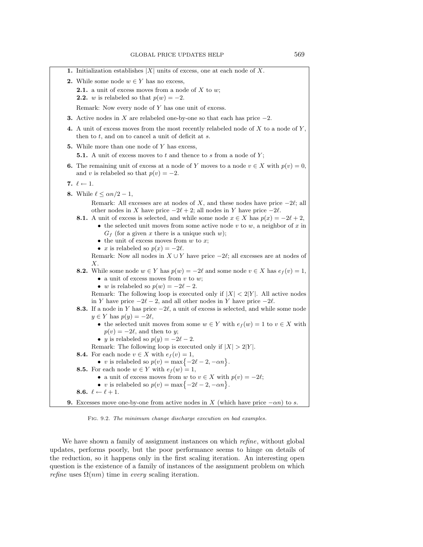| 1. Initialization establishes $ X $ units of excess, one at each node of X.                                                                                                                                                                                                                                                                                                                                                                                                                                                                                                                                                                                                                                                                                                                                                                                                                                                                                                                                                                                                                                                                                                                                                                                                             |
|-----------------------------------------------------------------------------------------------------------------------------------------------------------------------------------------------------------------------------------------------------------------------------------------------------------------------------------------------------------------------------------------------------------------------------------------------------------------------------------------------------------------------------------------------------------------------------------------------------------------------------------------------------------------------------------------------------------------------------------------------------------------------------------------------------------------------------------------------------------------------------------------------------------------------------------------------------------------------------------------------------------------------------------------------------------------------------------------------------------------------------------------------------------------------------------------------------------------------------------------------------------------------------------------|
| 2. While some node $w \in Y$ has no excess,                                                                                                                                                                                                                                                                                                                                                                                                                                                                                                                                                                                                                                                                                                                                                                                                                                                                                                                                                                                                                                                                                                                                                                                                                                             |
| <b>2.1.</b> a unit of excess moves from a node of X to w;<br><b>2.2.</b> w is relabeled so that $p(w) = -2$ .                                                                                                                                                                                                                                                                                                                                                                                                                                                                                                                                                                                                                                                                                                                                                                                                                                                                                                                                                                                                                                                                                                                                                                           |
| Remark: Now every node of Y has one unit of excess.                                                                                                                                                                                                                                                                                                                                                                                                                                                                                                                                                                                                                                                                                                                                                                                                                                                                                                                                                                                                                                                                                                                                                                                                                                     |
| <b>3.</b> Active nodes in X are relabeled one-by-one so that each has price $-2$ .                                                                                                                                                                                                                                                                                                                                                                                                                                                                                                                                                                                                                                                                                                                                                                                                                                                                                                                                                                                                                                                                                                                                                                                                      |
| 4. A unit of excess moves from the most recently relabeled node of $X$ to a node of $Y$ ,<br>then to $t$ , and on to cancel a unit of deficit at $s$ .                                                                                                                                                                                                                                                                                                                                                                                                                                                                                                                                                                                                                                                                                                                                                                                                                                                                                                                                                                                                                                                                                                                                  |
| <b>5.</b> While more than one node of Y has excess,                                                                                                                                                                                                                                                                                                                                                                                                                                                                                                                                                                                                                                                                                                                                                                                                                                                                                                                                                                                                                                                                                                                                                                                                                                     |
| <b>5.1.</b> A unit of excess moves to t and thence to s from a node of Y;                                                                                                                                                                                                                                                                                                                                                                                                                                                                                                                                                                                                                                                                                                                                                                                                                                                                                                                                                                                                                                                                                                                                                                                                               |
| <b>6.</b> The remaining unit of excess at a node of Y moves to a node $v \in X$ with $p(v) = 0$ ,<br>and v is relabeled so that $p(v) = -2$ .                                                                                                                                                                                                                                                                                                                                                                                                                                                                                                                                                                                                                                                                                                                                                                                                                                                                                                                                                                                                                                                                                                                                           |
| 7. $\ell \leftarrow 1$ .                                                                                                                                                                                                                                                                                                                                                                                                                                                                                                                                                                                                                                                                                                                                                                                                                                                                                                                                                                                                                                                                                                                                                                                                                                                                |
| 8. While $\ell \le \alpha n/2 - 1$ ,                                                                                                                                                                                                                                                                                                                                                                                                                                                                                                                                                                                                                                                                                                                                                                                                                                                                                                                                                                                                                                                                                                                                                                                                                                                    |
| Remark: All excesses are at nodes of X, and these nodes have price $-2\ell$ ; all<br>other nodes in X have price $-2\ell + 2$ ; all nodes in Y have price $-2\ell$ .<br><b>8.1.</b> A unit of excess is selected, and while some node $x \in X$ has $p(x) = -2\ell + 2$ ,<br>• the selected unit moves from some active node v to w, a neighbor of x in<br>$G_f$ (for a given x there is a unique such w);<br>• the unit of excess moves from $w$ to $x$ ;<br>• x is relabeled so $p(x) = -2\ell$ .<br>Remark: Now all nodes in $X \cup Y$ have price $-2\ell$ ; all excesses are at nodes of<br>Х.<br><b>8.2.</b> While some node $w \in Y$ has $p(w) = -2\ell$ and some node $v \in X$ has $e_f(v) = 1$ ,<br>• a unit of excess moves from $v$ to $w$ ;<br>• w is relabeled so $p(w) = -2\ell - 2$ .<br>Remark: The following loop is executed only if $ X  < 2 Y $ . All active nodes<br>in Y have price $-2\ell - 2$ , and all other nodes in Y have price $-2\ell$ .<br><b>8.3.</b> If a node in Y has price $-2\ell$ , a unit of excess is selected, and while some node<br>$y \in Y$ has $p(y) = -2\ell$ ,<br>• the selected unit moves from some $w \in Y$ with $e_f(w) = 1$ to $v \in X$ with<br>$p(v) = -2\ell$ , and then to y;<br>• y is relabeled so $p(y) = -2\ell - 2$ . |
| Remark: The following loop is executed only if $ X  > 2 Y $ .                                                                                                                                                                                                                                                                                                                                                                                                                                                                                                                                                                                                                                                                                                                                                                                                                                                                                                                                                                                                                                                                                                                                                                                                                           |
| <b>8.4.</b> For each node $v \in X$ with $e_f(v) = 1$ ,                                                                                                                                                                                                                                                                                                                                                                                                                                                                                                                                                                                                                                                                                                                                                                                                                                                                                                                                                                                                                                                                                                                                                                                                                                 |
| • v is relabeled so $p(v) = \max\{-2\ell - 2, -\alpha n\}.$<br><b>8.5.</b> For each node $w \in Y$ with $e_f(w) = 1$ ,                                                                                                                                                                                                                                                                                                                                                                                                                                                                                                                                                                                                                                                                                                                                                                                                                                                                                                                                                                                                                                                                                                                                                                  |
| • a unit of excess moves from w to $v \in X$ with $p(v) = -2\ell$ ;<br>• v is relabeled so $p(v) = \max\{-2\ell - 2, -\alpha n\}.$                                                                                                                                                                                                                                                                                                                                                                                                                                                                                                                                                                                                                                                                                                                                                                                                                                                                                                                                                                                                                                                                                                                                                      |
| 8.6. $\ell \leftarrow \ell + 1$ .                                                                                                                                                                                                                                                                                                                                                                                                                                                                                                                                                                                                                                                                                                                                                                                                                                                                                                                                                                                                                                                                                                                                                                                                                                                       |
| <b>9.</b> Excesses move one-by-one from active nodes in X (which have price $-\alpha n$ ) to s.                                                                                                                                                                                                                                                                                                                                                                                                                                                                                                                                                                                                                                                                                                                                                                                                                                                                                                                                                                                                                                                                                                                                                                                         |

Fig. 9.2. The minimum change discharge execution on bad examples.

We have shown a family of assignment instances on which refine, without global updates, performs poorly, but the poor performance seems to hinge on details of the reduction, so it happens only in the first scaling iteration. An interesting open question is the existence of a family of instances of the assignment problem on which *refine* uses  $\Omega(nm)$  time in *every* scaling iteration.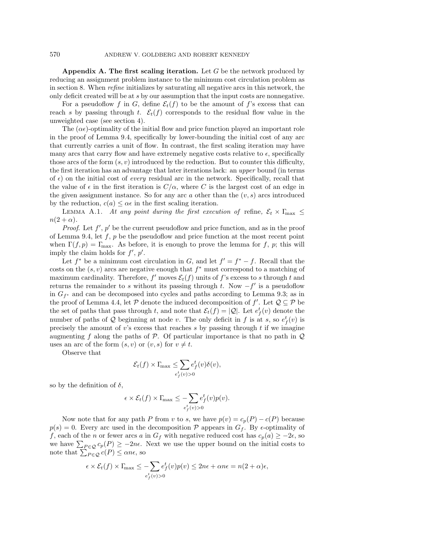**Appendix A. The first scaling iteration.** Let G be the network produced by reducing an assignment problem instance to the minimum cost circulation problem as in section 8. When refine initializes by saturating all negative arcs in this network, the only deficit created will be at s by our assumption that the input costs are nonnegative.

For a pseudoflow f in G, define  $\mathcal{E}_t(f)$  to be the amount of f's excess that can reach s by passing through t.  $\mathcal{E}_t(f)$  corresponds to the residual flow value in the unweighted case (see section 4).

The  $(\alpha \epsilon)$ -optimality of the initial flow and price function played an important role in the proof of Lemma 9.4, specifically by lower-bounding the initial cost of any arc that currently carries a unit of flow. In contrast, the first scaling iteration may have many arcs that carry flow and have extremely negative costs relative to  $\epsilon$ , specifically those arcs of the form  $(s, v)$  introduced by the reduction. But to counter this difficulty, the first iteration has an advantage that later iterations lack: an upper bound (in terms of  $\epsilon$ ) on the initial cost of *every* residual arc in the network. Specifically, recall that the value of  $\epsilon$  in the first iteration is  $C/\alpha$ , where C is the largest cost of an edge in the given assignment instance. So for any arc  $\alpha$  other than the  $(v, s)$  arcs introduced by the reduction,  $c(a) \leq \alpha \epsilon$  in the first scaling iteration.

LEMMA A.1. At any point during the first execution of refine,  $\mathcal{E}_t \times \Gamma_{\text{max}} \leq$  $n(2+\alpha)$ .

*Proof.* Let  $f'$ ,  $p'$  be the current pseudoflow and price function, and as in the proof of Lemma 9.4, let  $f, p$  be the pseudoflow and price function at the most recent point when  $\Gamma(f, p) = \Gamma_{\text{max}}$ . As before, it is enough to prove the lemma for f, p; this will imply the claim holds for  $f'$ ,  $p'$ .

Let  $f^*$  be a minimum cost circulation in G, and let  $f' = f^* - f$ . Recall that the costs on the  $(s, v)$  arcs are negative enough that  $f^*$  must correspond to a matching of maximum cardinality. Therefore, f' moves  $\mathcal{E}_t(f)$  units of f's excess to s through t and returns the remainder to s without its passing through t. Now  $-f<sup>0</sup>$  is a pseudoflow in  $G_{f^*}$  and can be decomposed into cycles and paths according to Lemma 9.3; as in the proof of Lemma 4.4, let P denote the induced decomposition of  $f'$ . Let  $\mathcal{Q} \subseteq \mathcal{P}$  be the set of paths that pass through t, and note that  $\mathcal{E}_t(f) = |\mathcal{Q}|$ . Let  $e_f^t(v)$  denote the number of paths of Q beginning at node v. The only deficit in f is at s, so  $e_f^t(v)$  is precisely the amount of v's excess that reaches s by passing through t if we imagine augmenting f along the paths of  $P$ . Of particular importance is that no path in  $Q$ uses an arc of the form  $(s, v)$  or  $(v, s)$  for  $v \neq t$ .

Observe that

$$
\mathcal{E}_t(f) \times \Gamma_{\text{max}} \leq \sum_{e_f^t(v) > 0} e_f^t(v) \delta(v),
$$

so by the definition of  $\delta$ ,

$$
\epsilon \times \mathcal{E}_t(f) \times \Gamma_{\text{max}} \leq -\sum_{e_f^t(v) > 0} e_f^t(v)p(v).
$$

Now note that for any path P from v to s, we have  $p(v) = c_p(P) - c(P)$  because  $p(s) = 0$ . Every arc used in the decomposition P appears in  $G_f$ . By  $\epsilon$ -optimality of f, each of the n or fewer arcs a in  $G_f$  with negative reduced cost has  $c_p(a) \geq -2\epsilon$ , so we have  $\sum_{P \in \mathcal{Q}} c_p(P) \geq -2n\epsilon$ . Next we use the upper bound on the initial costs to note that  $\sum_{P \in \mathcal{Q}} c(P) \le \alpha n \epsilon$ , so

$$
\epsilon \times \mathcal{E}_t(f) \times \Gamma_{\text{max}} \leq -\sum_{e_f^t(v) > 0} e_f^t(v)p(v) \leq 2n\epsilon + \alpha n\epsilon = n(2+\alpha)\epsilon,
$$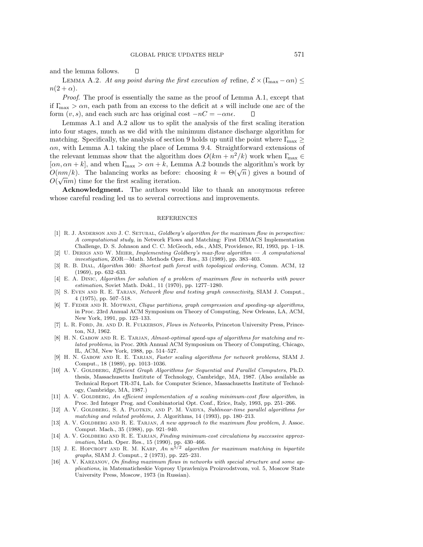and the lemma follows.  $\Box$ 

LEMMA A.2. At any point during the first execution of refine,  $\mathcal{E} \times (\Gamma_{\text{max}} - \alpha n) \leq$  $n(2+\alpha)$ .

Proof. The proof is essentially the same as the proof of Lemma A.1, except that if  $\Gamma_{\text{max}} > \alpha n$ , each path from an excess to the deficit at s will include one arc of the form  $(v, s)$ , and each such arc has original cost  $-nC = -\alpha n\epsilon$ . П

Lemmas A.1 and A.2 allow us to split the analysis of the first scaling iteration into four stages, much as we did with the minimum distance discharge algorithm for matching. Specifically, the analysis of section 9 holds up until the point where  $\Gamma_{\text{max}} \geq$ αn, with Lemma A.1 taking the place of Lemma 9.4. Straightforward extensions of the relevant lemmas show that the algorithm does  $O(km + n^2/k)$  work when  $\Gamma_{\text{max}} \in$  $[\alpha n, \alpha n + k]$ , and when  $\Gamma_{\text{max}} > \alpha n + k$ , Lemma A.2 bounds the algorithm's work by  $O(nm/k)$ . The balancing works as before: choosing  $k = \Theta(\sqrt{n})$  gives a bound of  $O(\sqrt{n}m)$  time for the first scaling iteration.

**Acknowledgment.** The authors would like to thank an anonymous referee whose careful reading led us to several corrections and improvements.

### REFERENCES

- [1] R. J. ANDERSON AND J. C. SETUBAL, Goldberg's algorithm for the maximum flow in perspective: A computational study, in Network Flows and Matching: First DIMACS Implementation Challenge, D. S. Johnson and C. C. McGeoch, eds., AMS, Providence, RI, 1993, pp. 1–18.
- [2] U. DERIGS AND W. MEIER, Implementing Goldberg's max-flow algorithm  $-A$  computational investigation, ZOR—Math. Methods Oper. Res., 33 (1989), pp. 383–403.
- [3] R. B. Dial, Algorithm 360: Shortest path forest with topological ordering, Comm. ACM, 12 (1969), pp. 632–633.
- [4] E. A. Dinic, Algorithm for solution of a problem of maximum flow in networks with power estimation, Soviet Math. Dokl., 11 (1970), pp. 1277–1280.
- [5] S. Even and R. E. Tarjan, Network flow and testing graph connectivity, SIAM J. Comput., 4 (1975), pp. 507–518.
- [6] T. FEDER AND R. MOTWANI, Clique partitions, graph compression and speeding-up algorithms, in Proc. 23rd Annual ACM Symposium on Theory of Computing, New Orleans, LA, ACM, New York, 1991, pp. 123–133.
- [7] L. R. Ford, Jr. and D. R. Fulkerson, Flows in Networks, Princeton University Press, Princeton, NJ, 1962.
- [8] H. N. GABOW AND R. E. TARJAN, Almost-optimal speed-ups of algorithms for matching and related problems, in Proc. 20th Annual ACM Symposium on Theory of Computing, Chicago, IL, ACM, New York, 1988, pp. 514–527.
- [9] H. N. GABOW AND R. E. TARJAN, Faster scaling algorithms for network problems, SIAM J. Comput., 18 (1989), pp. 1013–1036.
- [10] A. V. GOLDBERG, Efficient Graph Algorithms for Sequential and Parallel Computers, Ph.D. thesis, Massachusetts Institute of Technology, Cambridge, MA, 1987. (Also available as Technical Report TR-374, Lab. for Computer Science, Massachusetts Institute of Technology, Cambridge, MA, 1987.)
- [11] A. V. GOLDBERG, An efficient implementation of a scaling minimum-cost flow algorithm, in Proc. 3rd Integer Prog. and Combinatorial Opt. Conf., Erice, Italy, 1993, pp. 251–266.
- [12] A. V. GOLDBERG, S. A. PLOTKIN, AND P. M. VAIDYA, Sublinear-time parallel algorithms for matching and related problems, J. Algorithms, 14 (1993), pp. 180–213.
- [13] A. V. GOLDBERG AND R. E. TARJAN, A new approach to the maximum flow problem, J. Assoc. Comput. Mach., 35 (1988), pp. 921–940.
- [14] A. V. GOLDBERG AND R. E. TARJAN, Finding minimum-cost circulations by successive approx*imation*, Math. Oper. Res., 15 (1990), pp. 430–466.<br>[15] J. E. HOPCROFT AND R. M. KARP, An  $n^{5/2}$  algorithm for maximum matching in bipartite
- graphs, SIAM J. Comput., 2 (1973), pp. 225–231. [16] A. V. Karzanov, On finding maximum flows in networks with special structure and some ap-
- plications, in Matematicheskie Voprosy Upravleniya Proizvodstvom, vol. 5, Moscow State University Press, Moscow, 1973 (in Russian).